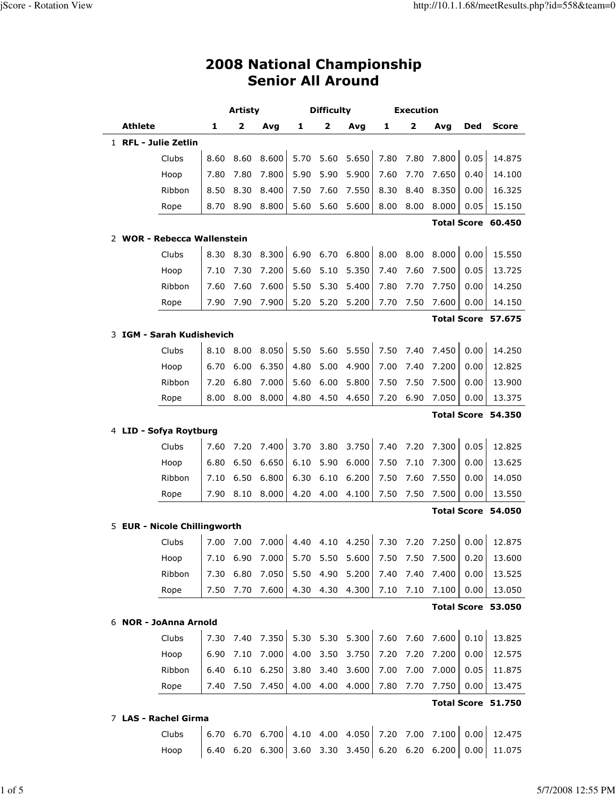|                          | <b>2008 National Championship</b> |
|--------------------------|-----------------------------------|
| <b>Senior All Around</b> |                                   |

|   |                              |      | Artisty |                   | Difficulty |                         |                 |      | <b>Execution</b> |                            |      |                    |
|---|------------------------------|------|---------|-------------------|------------|-------------------------|-----------------|------|------------------|----------------------------|------|--------------------|
|   | <b>Athlete</b>               | 1    | 2       | Avg               | 1          | $\overline{\mathbf{2}}$ | Avg             | 1    | 2                | Avq                        | Ded  | <b>Score</b>       |
|   | 1 RFL - Julie Zetlin         |      |         |                   |            |                         |                 |      |                  |                            |      |                    |
|   | Clubs                        | 8.60 | 8.60    | 8.600             | 5.70       | 5.60                    | 5.650           | 7.80 | 7.80             | 7.800                      | 0.05 | 14.875             |
|   | Hoop                         | 7.80 | 7.80    | 7.800             | 5.90       | 5.90                    | 5.900           | 7.60 | 7.70             | 7.650                      | 0.40 | 14.100             |
|   | Ribbon                       | 8.50 | 8.30    | 8.400             | 7.50       | 7.60                    | 7.550           | 8.30 | 8.40             | 8.350                      | 0.00 | 16.325             |
|   | Rope                         | 8.70 | 8.90    | 8.800             | 5.60       | 5.60                    | 5.600           | 8.00 | 8.00             | 8.000                      | 0.05 | 15.150             |
|   |                              |      |         |                   |            |                         |                 |      |                  | <b>Total Score</b>         |      | 60.450             |
|   | 2 WOR - Rebecca Wallenstein  |      |         |                   |            |                         |                 |      |                  |                            |      |                    |
|   | Clubs                        | 8.30 | 8.30    | 8.300             | 6.90       | 6.70                    | 6.800           | 8.00 | 8.00             | 8.000                      | 0.00 | 15.550             |
|   | Hoop                         | 7.10 | 7.30    | 7.200             | 5.60       | 5.10                    | 5.350           | 7.40 | 7.60             | 7.500                      | 0.05 | 13.725             |
|   | Ribbon                       | 7.60 | 7.60    | 7.600             | 5.50       | 5.30                    | 5.400           | 7.80 | 7.70             | 7.750                      | 0.00 | 14.250             |
|   | Rope                         | 7.90 | 7.90    | 7.900             | 5.20       | 5.20                    | 5.200           | 7.70 | 7.50             | 7.600                      | 0.00 | 14.150             |
|   |                              |      |         |                   |            |                         |                 |      |                  |                            |      | Total Score 57.675 |
| 3 | IGM - Sarah Kudishevich      |      |         |                   |            |                         |                 |      |                  |                            |      |                    |
|   | Clubs                        | 8.10 | 8.00    | 8.050             | 5.50       | 5.60                    | 5.550           | 7.50 | 7.40             | 7.450                      | 0.00 | 14.250             |
|   | Hoop                         | 6.70 | 6.00    | 6.350             | 4.80       | 5.00                    | 4.900           | 7.00 | 7.40             | 7.200                      | 0.00 | 12.825             |
|   | Ribbon                       | 7.20 | 6.80    | 7.000             | 5.60       | 6.00                    | 5.800           | 7.50 | 7.50             | 7.500                      | 0.00 | 13.900             |
|   | Rope                         | 8.00 | 8.00    | 8.000             | 4.80       | 4.50                    | 4.650           | 7.20 | 6.90             | 7.050                      | 0.00 | 13.375             |
|   |                              |      |         |                   |            |                         |                 |      |                  |                            |      | Total Score 54.350 |
|   | 4 LID - Sofya Roytburg       |      |         |                   |            |                         |                 |      |                  |                            |      |                    |
|   | Clubs                        | 7.60 | 7.20    | 7.400             | 3.70       | 3.80                    | 3.750           | 7.40 | 7.20             | 7.300                      | 0.05 | 12.825             |
|   | Hoop                         | 6.80 | 6.50    | 6.650             | 6.10       | 5.90                    | 6.000           | 7.50 | 7.10             | 7.300                      | 0.00 | 13.625             |
|   | Ribbon                       | 7.10 | 6.50    | 6.800             | 6.30       | 6.10                    | 6.200           | 7.50 | 7.60             | 7.550                      | 0.00 | 14.050             |
|   | Rope                         | 7.90 | 8.10    | 8.000             | 4.20       | 4.00                    | 4.100           | 7.50 | 7.50             | 7.500                      | 0.00 | 13.550             |
|   |                              |      |         |                   |            |                         |                 |      |                  |                            |      | Total Score 54.050 |
|   | 5 EUR - Nicole Chillingworth |      |         |                   |            |                         |                 |      |                  |                            |      |                    |
|   | Clubs                        | 7.00 | 7.00    | 7.000             |            |                         | 4.40 4.10 4.250 | 7.30 | 7.20             | 7.250                      | 0.00 | 12.875             |
|   | Hoop                         |      |         | 7.10 $6.90$ 7.000 |            |                         | 5.70 5.50 5.600 |      |                  | $7.50$ $7.50$ $7.500$ 0.20 |      | 13.600             |
|   | Ribbon                       | 7.30 | 6.80    | 7.050             | 5.50       | 4.90                    | 5.200           | 7.40 | 7.40             | 7.400                      | 0.00 | 13.525             |
|   | Rope                         | 7.50 | 7.70    | 7.600             | 4.30       | 4.30                    | 4.300           | 7.10 | 7.10             | 7.100                      | 0.00 | 13.050             |
|   |                              |      |         |                   |            |                         |                 |      |                  |                            |      | Total Score 53.050 |
|   | 6 NOR - JoAnna Arnold        |      |         |                   |            |                         |                 |      |                  |                            |      |                    |
|   | Clubs                        | 7.30 | 7.40    | 7.350             | 5.30       | 5.30                    | 5.300           | 7.60 | 7.60             | 7.600                      | 0.10 | 13.825             |
|   | Hoop                         | 6.90 | 7.10    | 7.000             | 4.00       | 3.50                    | 3.750           | 7.20 | 7.20             | 7.200                      | 0.00 | 12.575             |
|   | Ribbon                       | 6.40 | 6.10    | 6.250             | 3.80       | 3.40                    | 3.600           | 7.00 | 7.00             | 7.000                      | 0.05 | 11.875             |
|   | Rope                         | 7.40 | 7.50    | 7.450             | 4.00       | 4.00                    | 4.000           | 7.80 | 7.70             | 7.750                      | 0.00 | 13.475             |
|   |                              |      |         |                   |            |                         |                 |      |                  |                            |      | Total Score 51.750 |
|   | 7 LAS - Rachel Girma         |      |         |                   |            |                         |                 |      |                  |                            |      |                    |
|   | Clubs                        | 6.70 |         | 6.70 6.700        | 4.10       |                         | 4.00 4.050      |      | 7.20 7.00        | 7.100                      | 0.00 | 12.475             |
|   | Hoop                         | 6.40 | 6.20    | 6.300             |            | 3.60 3.30               | 3.450           |      | 6.20 6.20        | 6.200                      | 0.00 | 11.075             |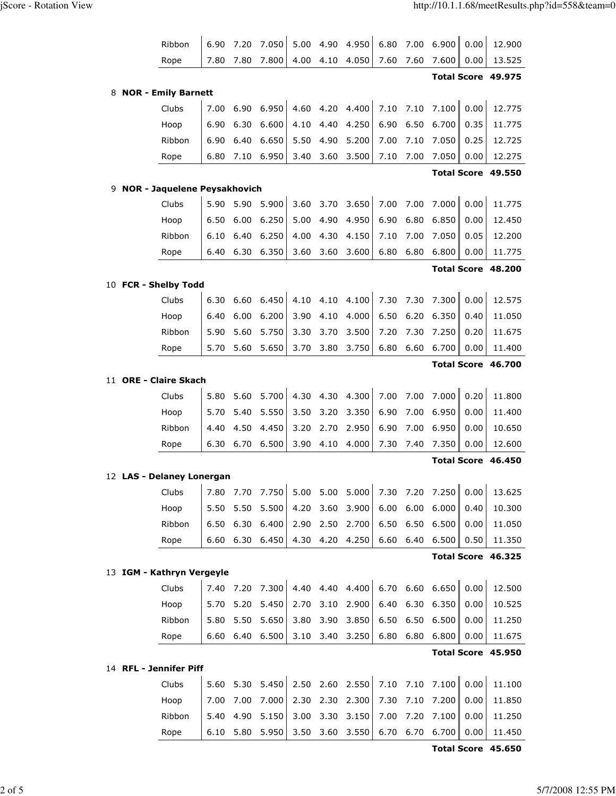|   | Ribbon                       | 6.90 | 7.20 | 7.050      | 5.00 | 4.90      | 4.950           | 6.80 | 7.00 | 6.900               | 0.00 | 12.900             |
|---|------------------------------|------|------|------------|------|-----------|-----------------|------|------|---------------------|------|--------------------|
|   | Rope                         | 7.80 | 7.80 | 7.800      | 4.00 | 4.10      | 4.050           | 7.60 | 7.60 | 7.600               | 0.00 | 13.525             |
|   |                              |      |      |            |      |           |                 |      |      |                     |      | Total Score 49.975 |
| 8 | <b>NOR - Emily Barnett</b>   |      |      |            |      |           |                 |      |      |                     |      |                    |
|   | Clubs                        | 7.00 | 6.90 | 6.950      | 4.60 | 4.20      | 4.400           | 7.10 | 7.10 | 7.100               | 0.00 | 12.775             |
|   | Hoop                         | 6.90 | 6.30 | 6.600      | 4.10 | 4.40      | 4.250           | 6.90 | 6.50 | 6.700               | 0.35 | 11.775             |
|   | Ribbon                       | 6.90 | 6.40 | 6.650      | 5.50 | 4.90      | 5.200           | 7.00 | 7.10 | 7.050               | 0.25 | 12.725             |
|   | Rope                         | 6.80 | 7.10 | 6.950      | 3.40 | 3.60      | 3.500           | 7.10 | 7.00 | 7.050               | 0.00 | 12.275             |
|   |                              |      |      |            |      |           |                 |      |      |                     |      | Total Score 49.550 |
| 9 | NOR - Jaquelene Peysakhovich |      |      |            |      |           |                 |      |      |                     |      |                    |
|   | Clubs                        | 5.90 | 5.90 | 5.900      | 3.60 | 3.70      | 3.650           | 7.00 | 7.00 | 7.000               | 0.00 | 11.775             |
|   | Hoop                         | 6.50 | 6.00 | 6.250      | 5.00 | 4.90      | 4.950           | 6.90 | 6.80 | 6.850               | 0.00 | 12.450             |
|   | Ribbon                       | 6.10 | 6.40 | 6.250      | 4.00 | 4.30      | 4.150           | 7.10 | 7.00 | 7.050               | 0.05 | 12.200             |
|   | Rope                         | 6.40 | 6.30 | 6.350      | 3.60 | 3.60      | 3.600           | 6.80 | 6.80 | 6.800               | 0.00 | 11.775             |
|   |                              |      |      |            |      |           |                 |      |      |                     |      | Total Score 48.200 |
|   | 10 FCR - Shelby Todd         |      |      |            |      |           |                 |      |      |                     |      |                    |
|   | Clubs                        | 6.30 | 6.60 | 6.450      | 4.10 | 4.10      | 4.100           | 7.30 | 7.30 | 7.300               | 0.00 | 12.575             |
|   | Hoop                         | 6.40 | 6.00 | 6.200      | 3.90 | 4.10      | 4.000           | 6.50 | 6.20 | 6.350               | 0.40 | 11.050             |
|   | Ribbon                       | 5.90 | 5.60 | 5.750      | 3.30 | 3.70      | 3.500           | 7.20 | 7.30 | 7.250               | 0.20 | 11.675             |
|   | Rope                         | 5.70 | 5.60 | 5.650      | 3.70 | 3.80      | 3.750           | 6.80 | 6.60 | 6.700               | 0.00 | 11.400             |
|   |                              |      |      |            |      |           |                 |      |      |                     |      | Total Score 46.700 |
|   | 11 ORE - Claire Skach        |      |      |            |      |           |                 |      |      |                     |      |                    |
|   | Clubs                        | 5.80 | 5.60 | 5.700      | 4.30 | 4.30      | 4.300           | 7.00 | 7.00 | 7.000               | 0.20 | 11.800             |
|   | Hoop                         | 5.70 | 5.40 | 5.550      | 3.50 | 3.20      | 3.350           | 6.90 | 7.00 | 6.950               | 0.00 | 11.400             |
|   | Ribbon                       | 4.40 | 4.50 | 4.450      | 3.20 | 2.70      | 2.950           | 6.90 | 7.00 | 6.950               | 0.00 | 10.650             |
|   | Rope                         | 6.30 | 6.70 | 6.500      | 3.90 | 4.10      | 4.000           | 7.30 | 7.40 | 7.350               | 0.00 | 12.600             |
|   |                              |      |      |            |      |           |                 |      |      | <b>Total Score</b>  |      | 46.450             |
|   | 12 LAS - Delaney Lonergan    |      |      |            |      |           |                 |      |      |                     |      |                    |
|   | Clubs                        | 7.80 | 7.70 | 7.750      |      | 5.00 5.00 | 5.000           | 7.30 | 7.20 | 7.250               | 0.00 | 13.625             |
|   | Hoop                         | 5.50 | 5.50 | 5.500      | 4.20 | 3.60      | 3.900           | 6.00 | 6.00 | 6.000               | 0.40 | 10.300             |
|   | Ribbon                       | 6.50 | 6.30 | 6.400      | 2.90 | 2.50      | 2.700           | 6.50 | 6.50 | 6.500               | 0.00 | 11.050             |
|   | Rope                         | 6.60 |      | 6.30 6.450 |      | 4.30 4.20 | 4.250           | 6.60 | 6.40 | 6.500               | 0.50 | 11.350             |
|   |                              |      |      |            |      |           |                 |      |      |                     |      | Total Score 46.325 |
|   | 13 IGM - Kathryn Vergeyle    |      |      |            |      |           |                 |      |      |                     |      |                    |
|   | Clubs                        | 7.40 | 7.20 | 7.300      |      |           | 4.40 4.40 4.400 | 6.70 |      | $6.60$ $6.650$ 0.00 |      | 12.500             |
|   | Hoop                         | 5.70 | 5.20 | 5.450      | 2.70 | 3.10      | 2.900           | 6.40 | 6.30 | 6.350               | 0.00 | 10.525             |
|   | Ribbon                       | 5.80 | 5.50 | 5.650      | 3.80 | 3.90      | 3.850           | 6.50 | 6.50 | 6.500               | 0.00 | 11.250             |
|   | Rope                         | 6.60 | 6.40 | 6.500      | 3.10 | 3.40      | 3.250           | 6.80 | 6.80 | 6.800               | 0.00 | 11.675             |
|   |                              |      |      |            |      |           |                 |      |      |                     |      | Total Score 45.950 |
|   | 14 RFL - Jennifer Piff       |      |      |            |      |           |                 |      |      |                     |      |                    |
|   | Clubs                        | 5.60 | 5.30 | 5.450      |      |           | 2.50 2.60 2.550 | 7.10 | 7.10 | 7.100   0.00        |      | 11.100             |
|   | Hoop                         | 7.00 | 7.00 | 7.000      | 2.30 | 2.30      | 2.300           | 7.30 | 7.10 | 7.200               | 0.00 | 11.850             |
|   | Ribbon                       | 5.40 | 4.90 | 5.150      | 3.00 | 3.30      | 3.150           | 7.00 | 7.20 | 7.100               | 0.00 | 11.250             |
|   | Rope                         | 6.10 | 5.80 | 5.950      |      |           | 3.50 3.60 3.550 | 6.70 |      | $6.70$ 6.700        | 0.00 | 11.450             |

Total Score 45.650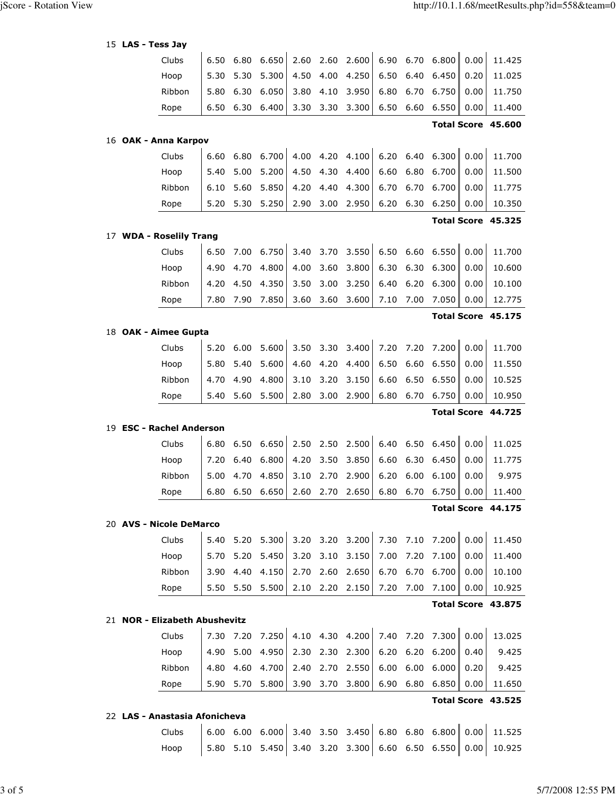|    | 15 LAS - Tess Jay             |      |      |            |      |      |                 |      |      |                 |      |                    |
|----|-------------------------------|------|------|------------|------|------|-----------------|------|------|-----------------|------|--------------------|
|    | Clubs                         | 6.50 | 6.80 | 6.650      | 2.60 | 2.60 | 2.600           | 6.90 | 6.70 | 6.800           | 0.00 | 11.425             |
|    | Hoop                          | 5.30 | 5.30 | 5.300      | 4.50 | 4.00 | 4.250           | 6.50 | 6.40 | 6.450           | 0.20 | 11.025             |
|    | Ribbon                        | 5.80 | 6.30 | 6.050      | 3.80 | 4.10 | 3.950           | 6.80 | 6.70 | 6.750           | 0.00 | 11.750             |
|    | Rope                          | 6.50 | 6.30 | 6.400      | 3.30 | 3.30 | 3.300           | 6.50 | 6.60 | 6.550           | 0.00 | 11.400             |
|    |                               |      |      |            |      |      |                 |      |      |                 |      | Total Score 45.600 |
|    | 16 OAK - Anna Karpov          |      |      |            |      |      |                 |      |      |                 |      |                    |
|    | Clubs                         | 6.60 | 6.80 | 6.700      | 4.00 | 4.20 | 4.100           | 6.20 | 6.40 | 6.300           | 0.00 | 11.700             |
|    | Hoop                          | 5.40 | 5.00 | 5.200      | 4.50 | 4.30 | 4.400           | 6.60 | 6.80 | 6.700           | 0.00 | 11.500             |
|    | Ribbon                        | 6.10 | 5.60 | 5.850      | 4.20 | 4.40 | 4.300           | 6.70 | 6.70 | 6.700           | 0.00 | 11.775             |
|    | Rope                          | 5.20 | 5.30 | 5.250      | 2.90 | 3.00 | 2.950           | 6.20 | 6.30 | 6.250           | 0.00 | 10.350             |
|    |                               |      |      |            |      |      |                 |      |      |                 |      | Total Score 45.325 |
|    | 17 WDA - Roselily Trang       |      |      |            |      |      |                 |      |      |                 |      |                    |
|    | Clubs                         | 6.50 | 7.00 | 6.750      | 3.40 | 3.70 | 3.550           | 6.50 | 6.60 | 6.550           | 0.00 | 11.700             |
|    | Hoop                          | 4.90 | 4.70 | 4.800      | 4.00 | 3.60 | 3.800           | 6.30 | 6.30 | 6.300           | 0.00 | 10.600             |
|    | Ribbon                        | 4.20 | 4.50 | 4.350      | 3.50 | 3.00 | 3.250           | 6.40 | 6.20 | 6.300           | 0.00 | 10.100             |
|    | Rope                          | 7.80 | 7.90 | 7.850      | 3.60 | 3.60 | 3.600           | 7.10 | 7.00 | 7.050           | 0.00 | 12.775             |
|    |                               |      |      |            |      |      |                 |      |      |                 |      | Total Score 45.175 |
|    | 18 OAK - Aimee Gupta          |      |      |            |      |      |                 |      |      |                 |      |                    |
|    | Clubs                         | 5.20 | 6.00 | 5.600      | 3.50 | 3.30 | 3.400           | 7.20 | 7.20 | 7.200           | 0.00 | 11.700             |
|    | Hoop                          | 5.80 | 5.40 | 5.600      | 4.60 | 4.20 | 4.400           | 6.50 | 6.60 | 6.550           | 0.00 | 11.550             |
|    | Ribbon                        | 4.70 | 4.90 | 4.800      | 3.10 | 3.20 | 3.150           | 6.60 | 6.50 | 6.550           | 0.00 | 10.525             |
|    | Rope                          | 5.40 | 5.60 | 5.500      | 2.80 | 3.00 | 2.900           | 6.80 | 6.70 | 6.750           | 0.00 | 10.950             |
|    |                               |      |      |            |      |      |                 |      |      |                 |      | Total Score 44.725 |
| 19 | <b>ESC - Rachel Anderson</b>  |      |      |            |      |      |                 |      |      |                 |      |                    |
|    | Clubs                         | 6.80 | 6.50 | 6.650      | 2.50 | 2.50 | 2.500           | 6.40 | 6.50 | 6.450           | 0.00 | 11.025             |
|    | Hoop                          | 7.20 | 6.40 | 6.800      | 4.20 | 3.50 | 3.850           | 6.60 | 6.30 | 6.450           | 0.00 | 11.775             |
|    | Ribbon                        | 5.00 | 4.70 | 4.850      | 3.10 | 2.70 | 2.900           | 6.20 | 6.00 | 6.100           | 0.00 | 9.975              |
|    | Rope                          | 6.80 |      | 6.50 6.650 |      |      | 2.60 2.70 2.650 |      |      | 6.80 6.70 6.750 | 0.00 | 11.400             |
|    |                               |      |      |            |      |      |                 |      |      |                 |      | Total Score 44.175 |
|    | 20 AVS - Nicole DeMarco       |      |      |            |      |      |                 |      |      |                 |      |                    |
|    | Clubs                         | 5.40 | 5.20 | 5.300      | 3.20 |      | 3.20 3.200      | 7.30 | 7.10 | 7.200           | 0.00 | 11.450             |
|    | Hoop                          | 5.70 | 5.20 | 5.450      | 3.20 | 3.10 | 3.150           | 7.00 | 7.20 | 7.100           | 0.00 | 11.400             |
|    | Ribbon                        | 3.90 | 4.40 | 4.150      | 2.70 | 2.60 | 2.650           | 6.70 | 6.70 | 6.700           | 0.00 | 10.100             |
|    | Rope                          | 5.50 | 5.50 | 5.500      | 2.10 | 2.20 | 2.150           | 7.20 | 7.00 | 7.100           | 0.00 | 10.925             |
|    |                               |      |      |            |      |      |                 |      |      |                 |      | Total Score 43.875 |
|    | 21 NOR - Elizabeth Abushevitz |      |      |            |      |      |                 |      |      |                 |      |                    |
|    | Clubs                         | 7.30 | 7.20 | 7.250      |      |      | 4.10 4.30 4.200 | 7.40 | 7.20 | 7.300           | 0.00 | 13.025             |
|    | Hoop                          | 4.90 | 5.00 | 4.950      | 2.30 | 2.30 | 2.300           | 6.20 | 6.20 | 6.200           | 0.40 | 9.425              |
|    | Ribbon                        | 4.80 | 4.60 | 4.700      | 2.40 | 2.70 | 2.550           | 6.00 | 6.00 | 6.000           | 0.20 | 9.425              |
|    | Rope                          | 5.90 | 5.70 | 5.800      | 3.90 | 3.70 | 3.800           | 6.90 |      | 6.80 6.850      | 0.00 | 11.650             |
|    |                               |      |      |            |      |      |                 |      |      |                 |      | Total Score 43.525 |

## 22 LAS - Anastasia Afonicheva

 Clubs 6.00 6.00 6.000 3.40 3.50 3.450 6.80 6.80 6.800 0.00 11.525 Hoop 5.80 5.10 5.450 3.40 3.20 3.300 6.60 6.50 6.550 0.00 10.925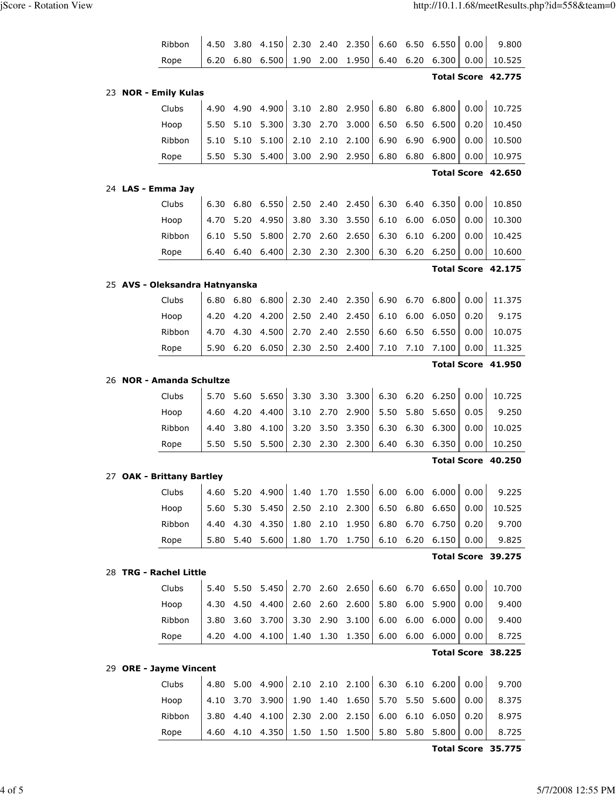| Ribbon                          | 4.50 | 3.80 | 4.150          | 2.30         | 2.40         | 2.350          | 6.60 | 6.50              | 6.550              | 0.00         | 9.800              |
|---------------------------------|------|------|----------------|--------------|--------------|----------------|------|-------------------|--------------------|--------------|--------------------|
| Rope                            | 6.20 | 6.80 | 6.500          | 1.90         | 2.00         | 1.950          | 6.40 | 6.20              | 6.300              | 0.00         | 10.525             |
|                                 |      |      |                |              |              |                |      |                   |                    |              | Total Score 42.775 |
| 23 NOR - Emily Kulas            |      |      |                |              |              |                |      |                   |                    |              |                    |
| Clubs                           | 4.90 | 4.90 | 4.900          | 3.10         | 2.80         | 2.950          | 6.80 | 6.80              | 6.800              | 0.00         | 10.725             |
| Hoop                            | 5.50 | 5.10 | 5.300          | 3.30         | 2.70         | 3.000          | 6.50 | 6.50              | 6.500              | 0.20         | 10.450             |
| Ribbon                          | 5.10 | 5.10 | 5.100          | 2.10         | 2.10         | 2.100          | 6.90 | 6.90              | 6.900              | 0.00         | 10.500             |
| Rope                            | 5.50 | 5.30 | 5.400          | 3.00         | 2.90         | 2.950          | 6.80 | 6.80              | 6.800              | 0.00         | 10.975             |
|                                 |      |      |                |              |              |                |      |                   |                    |              | Total Score 42.650 |
| 24 LAS - Emma Jay               |      |      |                |              |              |                |      |                   |                    |              |                    |
| Clubs                           | 6.30 | 6.80 | 6.550          | 2.50         | 2.40         | 2.450          | 6.30 | 6.40              | 6.350              | 0.00         | 10.850             |
| Hoop                            | 4.70 | 5.20 | 4.950          | 3.80         | 3.30         | 3.550          | 6.10 | 6.00              | 6.050              | 0.00         | 10.300             |
| Ribbon                          | 6.10 | 5.50 | 5.800          | 2.70         | 2.60         | 2.650          | 6.30 | 6.10              | 6.200              | 0.00         | 10.425             |
| Rope                            | 6.40 | 6.40 | 6.400          | 2.30         | 2.30         | 2.300          | 6.30 | 6.20              | 6.250              | 0.00         | 10.600             |
|                                 |      |      |                |              |              |                |      |                   |                    |              | Total Score 42.175 |
| 25 AVS - Oleksandra Hatnyanska  |      |      |                |              |              |                |      |                   |                    |              |                    |
| Clubs                           | 6.80 | 6.80 | 6.800          | 2.30         | 2.40         | 2.350          | 6.90 | 6.70              | 6.800              | 0.00         | 11.375             |
| Hoop                            | 4.20 | 4.20 | 4.200          | 2.50         | 2.40         | 2.450          | 6.10 | 6.00              | 6.050              | 0.20         | 9.175              |
| Ribbon                          | 4.70 | 4.30 | 4.500          | 2.70         | 2.40         | 2.550          | 6.60 | 6.50              | 6.550              | 0.00         | 10.075             |
| Rope                            | 5.90 | 6.20 | 6.050          | 2.30         | 2.50         | 2.400          | 7.10 | 7.10              | 7.100              | 0.00         | 11.325             |
|                                 |      |      |                |              |              |                |      |                   |                    |              | Total Score 41.950 |
| 26 NOR - Amanda Schultze        |      |      |                |              |              |                |      |                   |                    |              |                    |
|                                 |      |      |                |              |              |                |      |                   |                    |              |                    |
| Clubs                           | 5.70 | 5.60 | 5.650          | 3.30         | 3.30         | 3.300          | 6.30 | 6.20              | 6.250              | 0.00         | 10.725             |
| Hoop                            | 4.60 | 4.20 | 4.400          | 3.10         | 2.70         | 2.900          | 5.50 | 5.80              | 5.650              | 0.05         | 9.250              |
| Ribbon                          | 4.40 | 3.80 | 4.100          | 3.20         | 3.50         | 3.350          | 6.30 | 6.30              | 6.300              | 0.00         | 10.025             |
| Rope                            | 5.50 | 5.50 | 5.500          | 2.30         | 2.30         | 2.300          | 6.40 | 6.30              | 6.350              | 0.00         | 10.250             |
|                                 |      |      |                |              |              |                |      |                   | <b>Total Score</b> |              | 40.250             |
| 27 OAK - Brittany Bartley       |      |      |                |              |              |                |      |                   |                    | $\mathbf{H}$ |                    |
| Clubs                           | 4.60 | 5.20 | 4.900          | 1.40         | 1.70         | 1.550          |      | $6.00\quad 6.00$  | 6.000              | 0.00         | 9.225              |
| Hoop                            | 5.60 | 5.30 | 5.450          | 2.50         | 2.10         | 2.300          | 6.50 | 6.80              | 6.650              | 0.00         | 10.525             |
| Ribbon                          | 4.40 | 4.30 | 4.350          | 1.80         | 2.10         | 1.950          | 6.80 | 6.70              | 6.750              | 0.20         | 9.700              |
| Rope                            | 5.80 | 5.40 | 5.600          | 1.80         | 1.70         | 1.750          | 6.10 | 6.20              | 6.150              | 0.00         | 9.825              |
|                                 |      |      |                |              |              |                |      |                   |                    |              | Total Score 39.275 |
| 28 TRG - Rachel Little          |      |      |                |              |              |                |      |                   |                    |              |                    |
| Clubs                           | 5.40 | 5.50 | 5.450          | 2.70         | 2.60         | 2.650          | 6.60 | 6.70              | 6.650              | 0.00         | 10.700             |
| Hoop                            | 4.30 | 4.50 | 4.400          | 2.60         | 2.60         | 2.600          | 5.80 | 6.00              | 5.900              | 0.00         | 9.400              |
| Ribbon                          | 3.80 | 3.60 | 3.700          | 3.30         | 2.90         | 3.100          | 6.00 | 6.00              | 6.000              | 0.00         | 9.400              |
| Rope                            | 4.20 | 4.00 | 4.100          | 1.40         | 1.30         | 1.350          | 6.00 | 6.00              | 6.000              | 0.00         | 8.725              |
|                                 |      |      |                |              |              |                |      |                   |                    |              | Total Score 38.225 |
| 29 ORE - Jayme Vincent<br>Clubs | 4.80 | 5.00 |                |              |              |                |      |                   |                    | 0.00         | 9.700              |
| Hoop                            | 4.10 | 3.70 | 4.900<br>3.900 | 2.10<br>1.90 | 2.10<br>1.40 | 2.100<br>1.650 | 5.70 | 6.30 6.10<br>5.50 | 6.200<br>5.600     | 0.00         | 8.375              |
| Ribbon                          | 3.80 | 4.40 | 4.100          | 2.30         | 2.00         | 2.150          | 6.00 | 6.10              | 6.050              | 0.20         | 8.975              |

Total Score 35.775